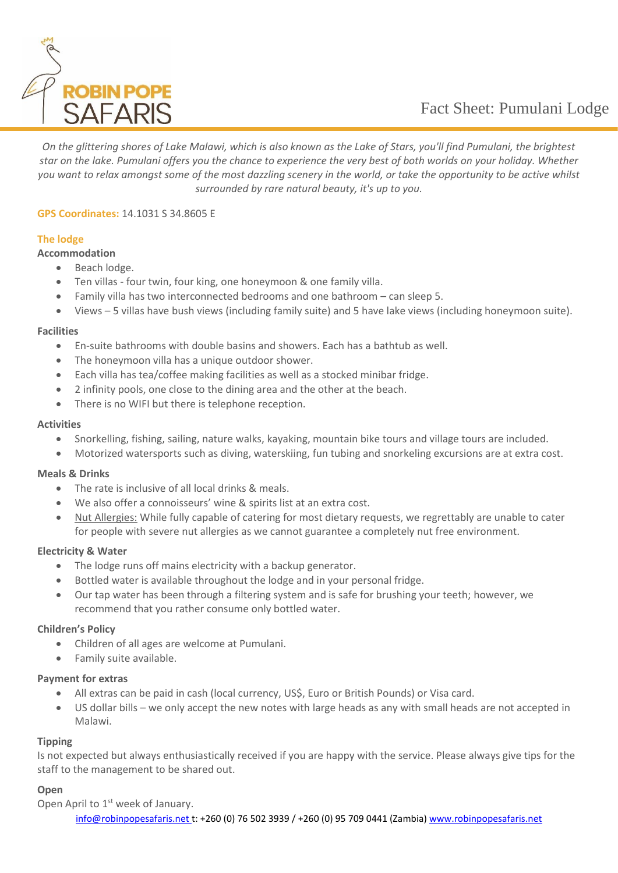

*On the glittering shores of Lake Malawi, which is also known as the Lake of Stars, you'll find Pumulani, the brightest star on the lake. Pumulani offers you the chance to experience the very best of both worlds on your holiday. Whether you want to relax amongst some of the most dazzling scenery in the world, or take the opportunity to be active whilst surrounded by rare natural beauty, it's up to you.*

## **GPS Coordinates:** 14.1031 S 34.8605 E

# **The lodge**

- **Accommodation**
	- Beach lodge.
	- Ten villas four twin, four king, one honeymoon & one family villa.
	- Family villa has two interconnected bedrooms and one bathroom can sleep 5.
	- Views 5 villas have bush views (including family suite) and 5 have lake views (including honeymoon suite).

## **Facilities**

- En-suite bathrooms with double basins and showers. Each has a bathtub as well.
- The honeymoon villa has a unique outdoor shower.
- Each villa has tea/coffee making facilities as well as a stocked minibar fridge.
- 2 infinity pools, one close to the dining area and the other at the beach.
- There is no WIFI but there is telephone reception.

## **Activities**

- Snorkelling, fishing, sailing, nature walks, kayaking, mountain bike tours and village tours are included.
- Motorized watersports such as diving, waterskiing, fun tubing and snorkeling excursions are at extra cost.

## **Meals & Drinks**

- The rate is inclusive of all local drinks & meals.
- We also offer a connoisseurs' wine & spirits list at an extra cost.
- Nut Allergies: While fully capable of catering for most dietary requests, we regrettably are unable to cater for people with severe nut allergies as we cannot guarantee a completely nut free environment.

## **Electricity & Water**

- The lodge runs off mains electricity with a backup generator.
- Bottled water is available throughout the lodge and in your personal fridge.
- Our tap water has been through a filtering system and is safe for brushing your teeth; however, we recommend that you rather consume only bottled water.

## **Children's Policy**

- Children of all ages are welcome at Pumulani.
- Family suite available.

## **Payment for extras**

- All extras can be paid in cash (local currency, US\$, Euro or British Pounds) or Visa card.
- US dollar bills we only accept the new notes with large heads as any with small heads are not accepted in Malawi.

## **Tipping**

Is not expected but always enthusiastically received if you are happy with the service. Please always give tips for the staff to the management to be shared out.

## **Open**

[info@robinpopesafaris.net](mailto:info@robinpopesafaris.net) t: +260 (0) 76 502 3939 / +260 (0) 95 709 0441 (Zambia[\) www.robinpopesafaris.net](http://www.robinpopesafaris.net/) Open April to 1<sup>st</sup> week of January.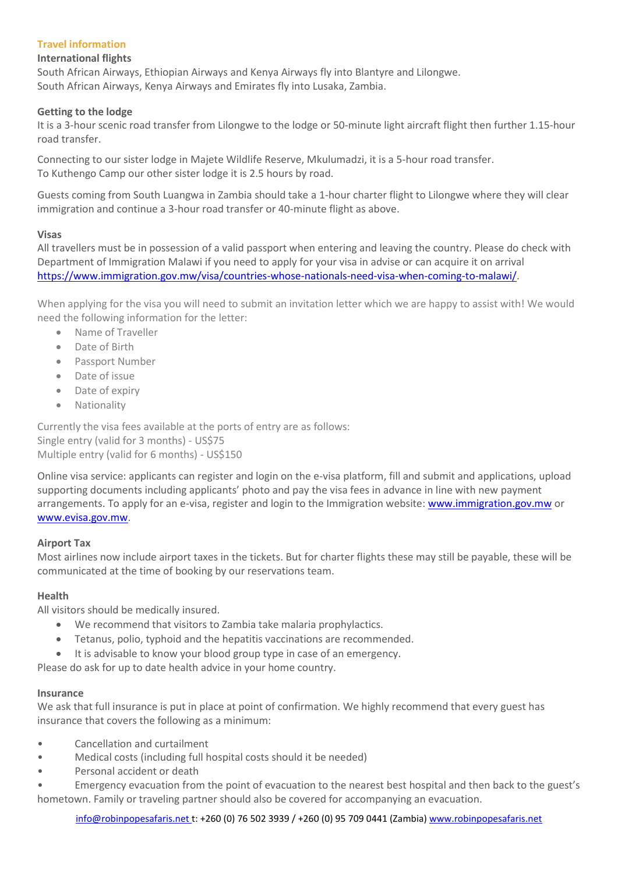# **Travel information**

## **International flights**

South African Airways, Ethiopian Airways and Kenya Airways fly into Blantyre and Lilongwe. South African Airways, Kenya Airways and Emirates fly into Lusaka, Zambia.

## **Getting to the lodge**

It is a 3-hour scenic road transfer from Lilongwe to the lodge or 50-minute light aircraft flight then further 1.15-hour road transfer.

Connecting to our sister lodge in Majete Wildlife Reserve, Mkulumadzi, it is a 5-hour road transfer. To Kuthengo Camp our other sister lodge it is 2.5 hours by road.

Guests coming from South Luangwa in Zambia should take a 1-hour charter flight to Lilongwe where they will clear immigration and continue a 3-hour road transfer or 40-minute flight as above.

## **Visas**

All travellers must be in possession of a valid passport when entering and leaving the country. Please do check with Department of Immigration Malawi if you need to apply for your visa in advise or can acquire it on arrival [https://www.immigration.gov.mw/visa/countries-whose-nationals-need-visa-when-coming-to-malawi/.](https://www.immigration.gov.mw/visa/countries-whose-nationals-need-visa-when-coming-to-malawi/)

When applying for the visa you will need to submit an invitation letter which we are happy to assist with! We would need the following information for the letter:

- Name of Traveller
- Date of Birth
- Passport Number
- Date of issue
- Date of expiry
- Nationality

Currently the visa fees available at the ports of entry are as follows: Single entry (valid for 3 months) - US\$75 Multiple entry (valid for 6 months) - US\$150

Online visa service: applicants can register and login on the e-visa platform, fill and submit and applications, upload supporting documents including applicants' photo and pay the visa fees in advance in line with new payment arrangements. To apply for an e-visa, register and login to the Immigration website: www.immigration.gov.mw or [www.evisa.gov.mw.](http://www.evisa.gov.mw/)

## **Airport Tax**

Most airlines now include airport taxes in the tickets. But for charter flights these may still be payable, these will be communicated at the time of booking by our reservations team.

## **Health**

All visitors should be medically insured.

- We recommend that visitors to Zambia take malaria prophylactics.
- Tetanus, polio, typhoid and the hepatitis vaccinations are recommended.
- It is advisable to know your blood group type in case of an emergency.

Please do ask for up to date health advice in your home country.

## **Insurance**

We ask that full insurance is put in place at point of confirmation. We highly recommend that every guest has insurance that covers the following as a minimum:

- Cancellation and curtailment
- Medical costs (including full hospital costs should it be needed)
- Personal accident or death
- Emergency evacuation from the point of evacuation to the nearest best hospital and then back to the guest's hometown. Family or traveling partner should also be covered for accompanying an evacuation.

[info@robinpopesafaris.net](mailto:info@robinpopesafaris.net) t: +260 (0) 76 502 3939 / +260 (0) 95 709 0441 (Zambia[\) www.robinpopesafaris.net](http://www.robinpopesafaris.net/)